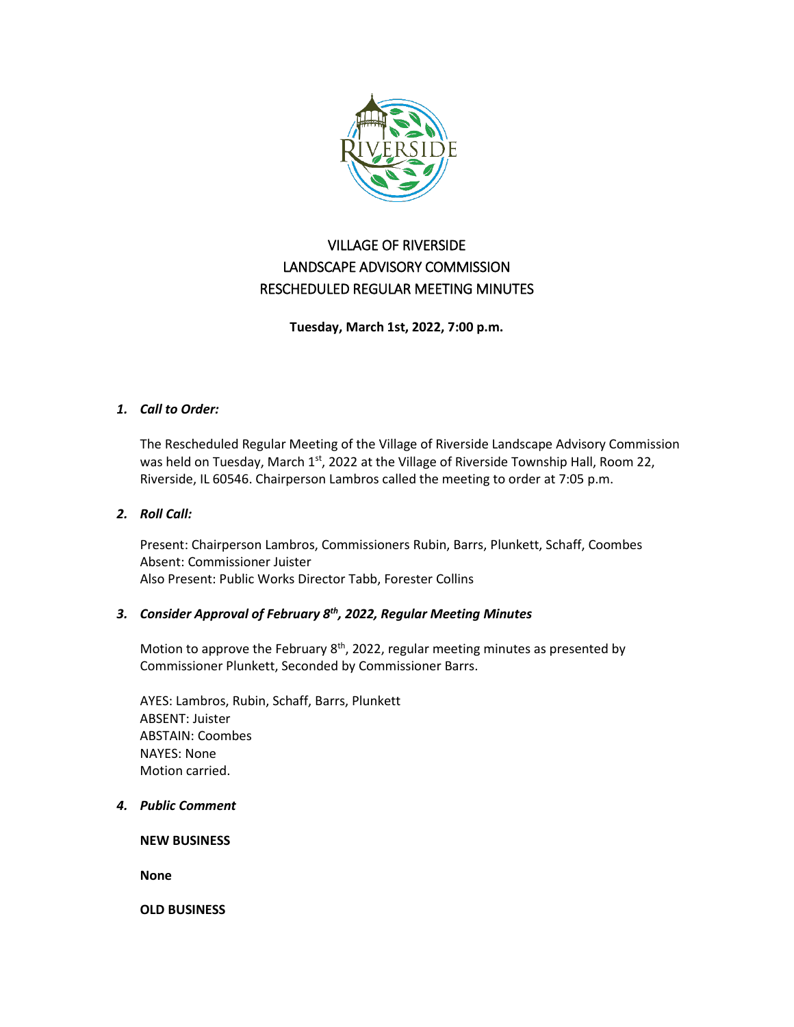

# VILLAGE OF RIVERSIDE LANDSCAPE ADVISORY COMMISSION RESCHEDULED REGULAR MEETING MINUTES

**Tuesday, March 1st, 2022, 7:00 p.m.**

## *1. Call to Order:*

The Rescheduled Regular Meeting of the Village of Riverside Landscape Advisory Commission was held on Tuesday, March 1<sup>st</sup>, 2022 at the Village of Riverside Township Hall, Room 22, Riverside, IL 60546. Chairperson Lambros called the meeting to order at 7:05 p.m.

## *2. Roll Call:*

Present: Chairperson Lambros, Commissioners Rubin, Barrs, Plunkett, Schaff, Coombes Absent: Commissioner Juister Also Present: Public Works Director Tabb, Forester Collins

## *3. Consider Approval of February 8th, 2022, Regular Meeting Minutes*

Motion to approve the February  $8<sup>th</sup>$ , 2022, regular meeting minutes as presented by Commissioner Plunkett, Seconded by Commissioner Barrs.

AYES: Lambros, Rubin, Schaff, Barrs, Plunkett ABSENT: Juister ABSTAIN: Coombes NAYES: None Motion carried.

*4. Public Comment*

**NEW BUSINESS**

**None**

**OLD BUSINESS**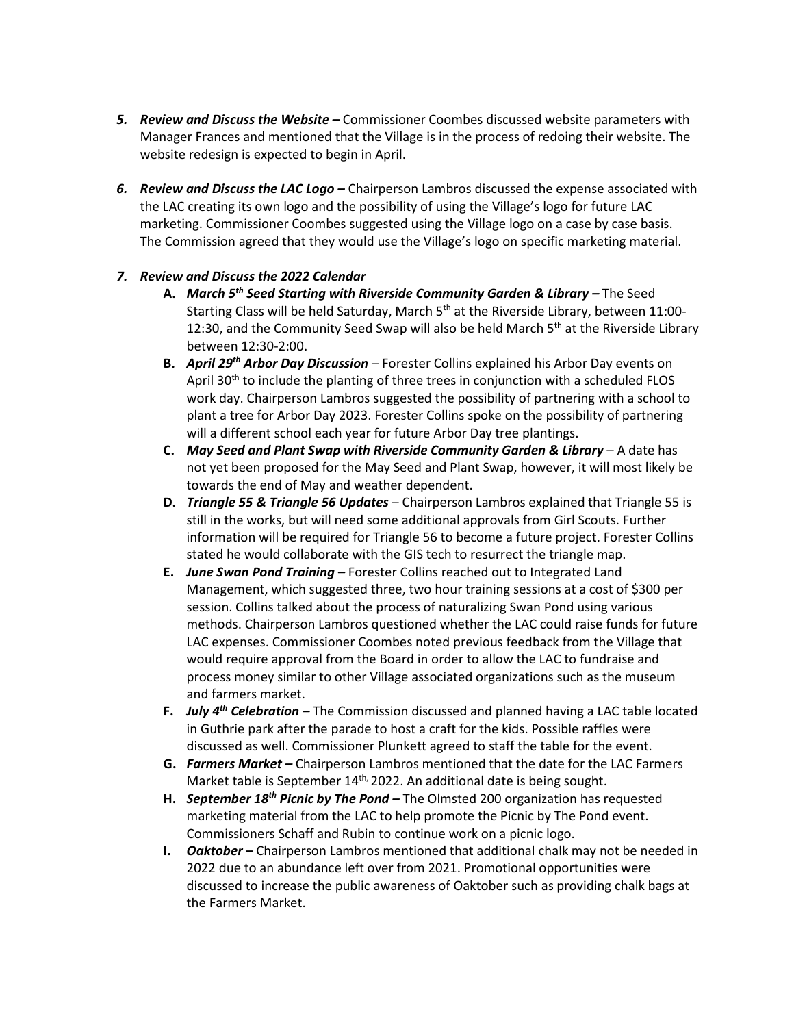- *5. Review and Discuss the Website –* Commissioner Coombes discussed website parameters with Manager Frances and mentioned that the Village is in the process of redoing their website. The website redesign is expected to begin in April.
- *6. Review and Discuss the LAC Logo –* Chairperson Lambros discussed the expense associated with the LAC creating its own logo and the possibility of using the Village's logo for future LAC marketing. Commissioner Coombes suggested using the Village logo on a case by case basis. The Commission agreed that they would use the Village's logo on specific marketing material.

# *7. Review and Discuss the 2022 Calendar*

- **A.** *March 5th Seed Starting with Riverside Community Garden & Library –* The Seed Starting Class will be held Saturday, March 5<sup>th</sup> at the Riverside Library, between 11:00-12:30, and the Community Seed Swap will also be held March 5<sup>th</sup> at the Riverside Library between 12:30-2:00.
- **B.** *April 29th Arbor Day Discussion* Forester Collins explained his Arbor Day events on April  $30<sup>th</sup>$  to include the planting of three trees in conjunction with a scheduled FLOS work day. Chairperson Lambros suggested the possibility of partnering with a school to plant a tree for Arbor Day 2023. Forester Collins spoke on the possibility of partnering will a different school each year for future Arbor Day tree plantings.
- **C.** *May Seed and Plant Swap with Riverside Community Garden & Library* A date has not yet been proposed for the May Seed and Plant Swap, however, it will most likely be towards the end of May and weather dependent.
- **D.** *Triangle 55 & Triangle 56 Updates* Chairperson Lambros explained that Triangle 55 is still in the works, but will need some additional approvals from Girl Scouts. Further information will be required for Triangle 56 to become a future project. Forester Collins stated he would collaborate with the GIS tech to resurrect the triangle map.
- **E.** *June Swan Pond Training –* Forester Collins reached out to Integrated Land Management, which suggested three, two hour training sessions at a cost of \$300 per session. Collins talked about the process of naturalizing Swan Pond using various methods. Chairperson Lambros questioned whether the LAC could raise funds for future LAC expenses. Commissioner Coombes noted previous feedback from the Village that would require approval from the Board in order to allow the LAC to fundraise and process money similar to other Village associated organizations such as the museum and farmers market.
- **F.** *July 4th Celebration –* The Commission discussed and planned having a LAC table located in Guthrie park after the parade to host a craft for the kids. Possible raffles were discussed as well. Commissioner Plunkett agreed to staff the table for the event.
- **G.** *Farmers Market –* Chairperson Lambros mentioned that the date for the LAC Farmers Market table is September 14<sup>th,</sup> 2022. An additional date is being sought.
- **H.** *September 18th Picnic by The Pond –* The Olmsted 200 organization has requested marketing material from the LAC to help promote the Picnic by The Pond event. Commissioners Schaff and Rubin to continue work on a picnic logo.
- **I.** *Oaktober –* Chairperson Lambros mentioned that additional chalk may not be needed in 2022 due to an abundance left over from 2021. Promotional opportunities were discussed to increase the public awareness of Oaktober such as providing chalk bags at the Farmers Market.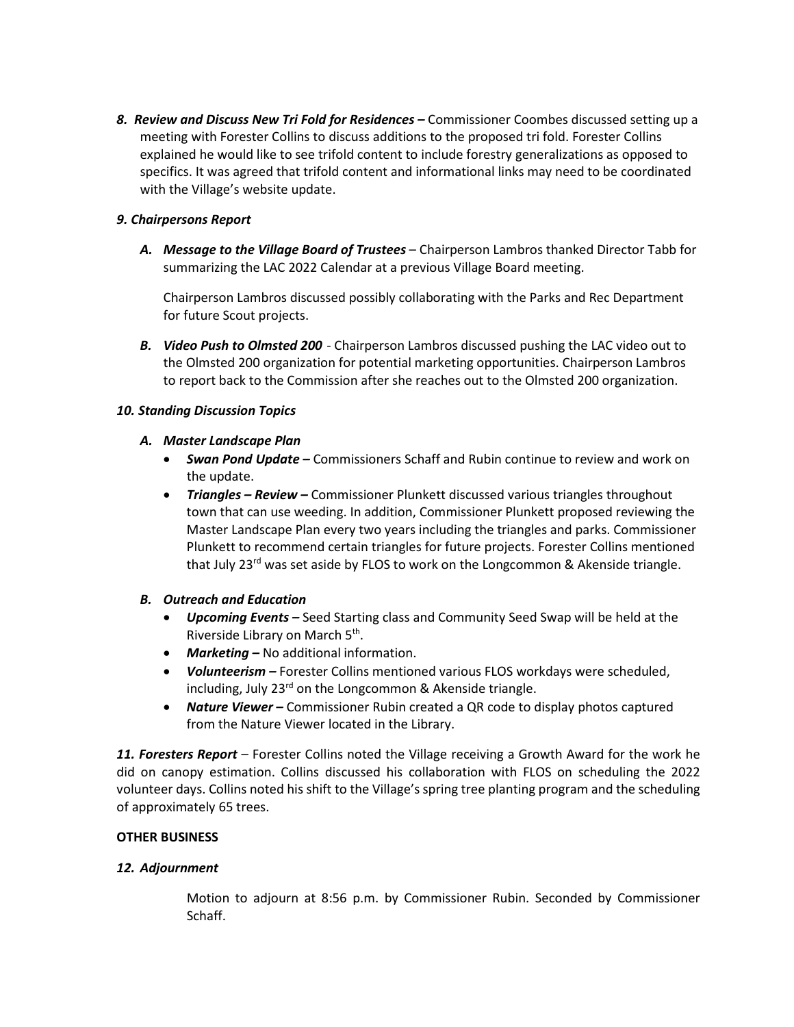*8. Review and Discuss New Tri Fold for Residences –* Commissioner Coombes discussed setting up a meeting with Forester Collins to discuss additions to the proposed tri fold. Forester Collins explained he would like to see trifold content to include forestry generalizations as opposed to specifics. It was agreed that trifold content and informational links may need to be coordinated with the Village's website update.

# *9. Chairpersons Report*

*A. Message to the Village Board of Trustees* – Chairperson Lambros thanked Director Tabb for summarizing the LAC 2022 Calendar at a previous Village Board meeting.

Chairperson Lambros discussed possibly collaborating with the Parks and Rec Department for future Scout projects.

*B. Video Push to Olmsted 200* - Chairperson Lambros discussed pushing the LAC video out to the Olmsted 200 organization for potential marketing opportunities. Chairperson Lambros to report back to the Commission after she reaches out to the Olmsted 200 organization.

# *10. Standing Discussion Topics*

# *A. Master Landscape Plan*

- *Swan Pond Update –* Commissioners Schaff and Rubin continue to review and work on the update.
- *Triangles – Review –* Commissioner Plunkett discussed various triangles throughout town that can use weeding. In addition, Commissioner Plunkett proposed reviewing the Master Landscape Plan every two years including the triangles and parks. Commissioner Plunkett to recommend certain triangles for future projects. Forester Collins mentioned that July 23<sup>rd</sup> was set aside by FLOS to work on the Longcommon & Akenside triangle.

# *B. Outreach and Education*

- *Upcoming Events –* Seed Starting class and Community Seed Swap will be held at the Riverside Library on March 5th.
- *Marketing –* No additional information.
- *Volunteerism –* Forester Collins mentioned various FLOS workdays were scheduled, including, July  $23<sup>rd</sup>$  on the Longcommon & Akenside triangle.
- *Nature Viewer –* Commissioner Rubin created a QR code to display photos captured from the Nature Viewer located in the Library.

*11. Foresters Report* – Forester Collins noted the Village receiving a Growth Award for the work he did on canopy estimation. Collins discussed his collaboration with FLOS on scheduling the 2022 volunteer days. Collins noted his shift to the Village's spring tree planting program and the scheduling of approximately 65 trees.

## **OTHER BUSINESS**

## *12. Adjournment*

Motion to adjourn at 8:56 p.m. by Commissioner Rubin. Seconded by Commissioner Schaff.